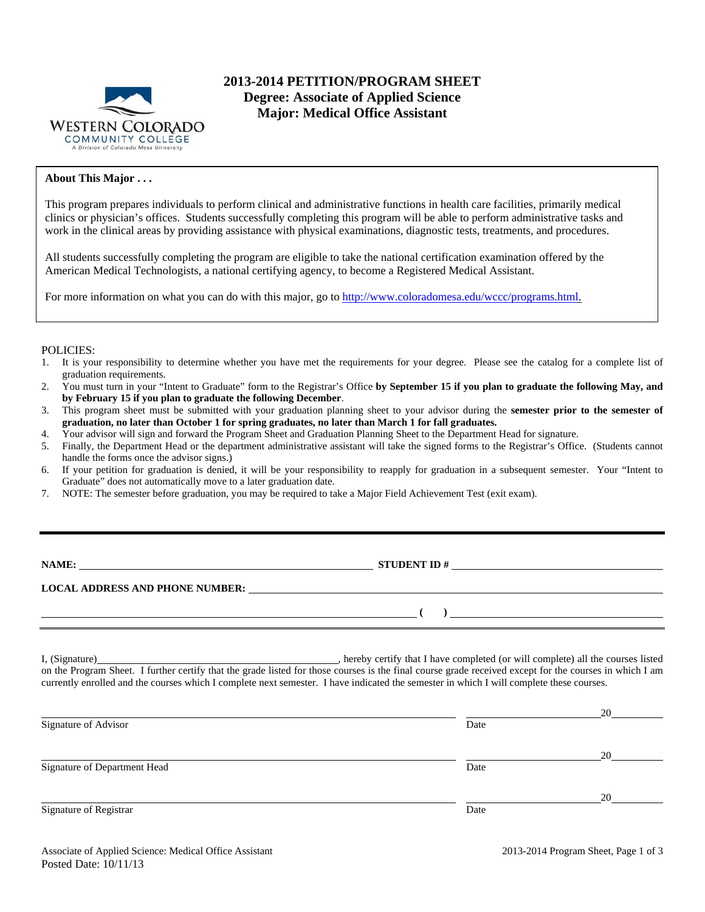

# **2013-2014 PETITION/PROGRAM SHEET Degree: Associate of Applied Science Major: Medical Office Assistant**

## **About This Major . . .**

This program prepares individuals to perform clinical and administrative functions in health care facilities, primarily medical clinics or physician's offices. Students successfully completing this program will be able to perform administrative tasks and work in the clinical areas by providing assistance with physical examinations, diagnostic tests, treatments, and procedures.

All students successfully completing the program are eligible to take the national certification examination offered by the American Medical Technologists, a national certifying agency, to become a Registered Medical Assistant.

For more information on what you can do with this major, go to http://www.coloradomesa.edu/wccc/programs.html.

#### POLICIES:

- 1. It is your responsibility to determine whether you have met the requirements for your degree. Please see the catalog for a complete list of graduation requirements.
- 2. You must turn in your "Intent to Graduate" form to the Registrar's Office **by September 15 if you plan to graduate the following May, and by February 15 if you plan to graduate the following December**.
- 3. This program sheet must be submitted with your graduation planning sheet to your advisor during the **semester prior to the semester of graduation, no later than October 1 for spring graduates, no later than March 1 for fall graduates.**
- 4. Your advisor will sign and forward the Program Sheet and Graduation Planning Sheet to the Department Head for signature.
- 5. Finally, the Department Head or the department administrative assistant will take the signed forms to the Registrar's Office. (Students cannot handle the forms once the advisor signs.)
- 6. If your petition for graduation is denied, it will be your responsibility to reapply for graduation in a subsequent semester. Your "Intent to Graduate" does not automatically move to a later graduation date.
- 7. NOTE: The semester before graduation, you may be required to take a Major Field Achievement Test (exit exam).

| <b>NAME:</b> |
|--------------|
|--------------|

**NAME:** STUDENT ID #

 **(** ) <u> **(** ) **b** ( **)** *d* ( **)** *d* ( **)** *d* ( **)** *d* ( **)** *d* ( **)** *d* ( **)** *d* ( **)** *d* ( **)** *d* ( **)** *d* ( **)** *d* ( **)** *d* ( **)** *d* ( **)** *d* ( **)** *d* ( **)** *d* ( **)** *d</u>* 

**LOCAL ADDRESS AND PHONE NUMBER:**

I, (Signature) , hereby certify that I have completed (or will complete) all the courses listed on the Program Sheet. I further certify that the grade listed for those courses is the final course grade received except for the courses in which I am currently enrolled and the courses which I complete next semester. I have indicated the semester in which I will complete these courses.

|                              |      | 20 |
|------------------------------|------|----|
| Signature of Advisor         | Date |    |
|                              |      | 20 |
| Signature of Department Head | Date |    |
|                              |      | 20 |
| Signature of Registrar       | Date |    |
|                              |      |    |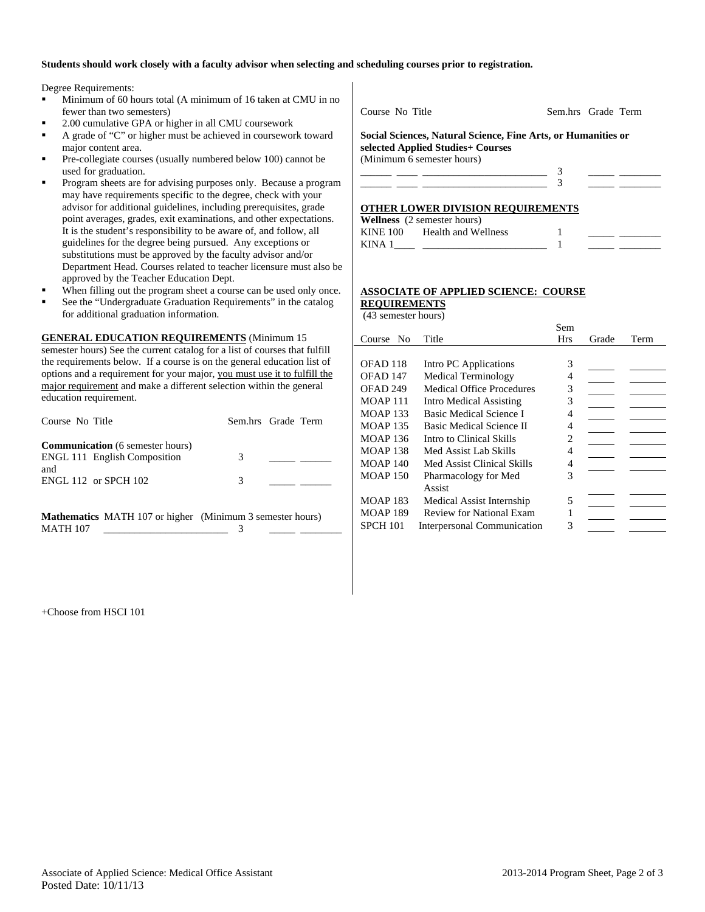#### **Students should work closely with a faculty advisor when selecting and scheduling courses prior to registration.**

Degree Requirements:

- Minimum of 60 hours total (A minimum of 16 taken at CMU in no fewer than two semesters)
- 2.00 cumulative GPA or higher in all CMU coursework
- A grade of "C" or higher must be achieved in coursework toward major content area.
- Pre-collegiate courses (usually numbered below 100) cannot be used for graduation.
- Program sheets are for advising purposes only. Because a program may have requirements specific to the degree, check with your advisor for additional guidelines, including prerequisites, grade point averages, grades, exit examinations, and other expectations. It is the student's responsibility to be aware of, and follow, all guidelines for the degree being pursued. Any exceptions or substitutions must be approved by the faculty advisor and/or Department Head. Courses related to teacher licensure must also be approved by the Teacher Education Dept.
- When filling out the program sheet a course can be used only once.
- See the "Undergraduate Graduation Requirements" in the catalog for additional graduation information.

**GENERAL EDUCATION REQUIREMENTS** (Minimum 15

semester hours) See the current catalog for a list of courses that fulfill the requirements below. If a course is on the general education list of options and a requirement for your major, you must use it to fulfill the major requirement and make a different selection within the general education requirement.

| Course No Title |                                                                         | Sem.hrs Grade Term |  |
|-----------------|-------------------------------------------------------------------------|--------------------|--|
|                 | <b>Communication</b> (6 semester hours)<br>ENGL 111 English Composition | 3                  |  |
| and             | <b>ENGL 112 or SPCH 102</b>                                             | 3                  |  |

**Mathematics** MATH 107 or higher (Minimum 3 semester hours) MATH 107 \_\_\_\_\_\_\_\_\_\_\_\_\_\_\_\_\_\_\_\_\_\_\_\_ 3 \_\_\_\_\_ \_\_\_\_\_\_\_\_

Course No Title Sem.hrs Grade Term

**Social Sciences, Natural Science, Fine Arts, or Humanities or selected Applied Studies+ Courses**  (Minimum 6 semester hours)

## **OTHER LOWER DIVISION REQUIREMENTS**

|          | <b>Wellness</b> (2 semester hours) |  |  |
|----------|------------------------------------|--|--|
| KINE 100 | Health and Wellness                |  |  |
| KINA 1   |                                    |  |  |

#### **ASSOCIATE OF APPLIED SCIENCE: COURSE REQUIREMENTS**

(43 semester hours)

|                 |                                  | Sem        |       |      |
|-----------------|----------------------------------|------------|-------|------|
| No.<br>Course   | Title                            | <b>Hrs</b> | Grade | Term |
|                 |                                  |            |       |      |
| OFAD 118        | Intro PC Applications            | 3          |       |      |
| OFAD 147        | Medical Terminology              | 4          |       |      |
| OFAD 249        | <b>Medical Office Procedures</b> | 3          |       |      |
| <b>MOAP 111</b> | Intro Medical Assisting          | 3          |       |      |
| <b>MOAP 133</b> | Basic Medical Science I          | 4          |       |      |
| <b>MOAP 135</b> | Basic Medical Science II         | 4          |       |      |
| <b>MOAP 136</b> | Intro to Clinical Skills         | 2          |       |      |
| <b>MOAP 138</b> | Med Assist Lab Skills            | 4          |       |      |
| <b>MOAP 140</b> | Med Assist Clinical Skills       | 4          |       |      |
| <b>MOAP 150</b> | Pharmacology for Med             | 3          |       |      |
|                 | Assist                           |            |       |      |
| <b>MOAP 183</b> | Medical Assist Internship        | 5          |       |      |
| <b>MOAP 189</b> | Review for National Exam         |            |       |      |
| <b>SPCH 101</b> | Interpersonal Communication      | 3          |       |      |

+Choose from HSCI 101